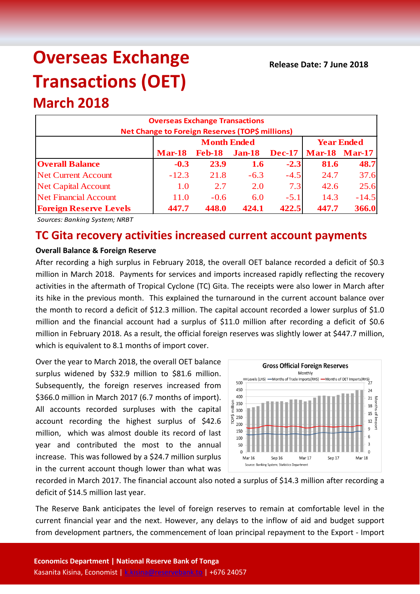# **Overseas Exchange Transactions (OET)**

## **March 2018**

| <b>Overseas Exchange Transactions</b><br>Net Change to Foreign Reserves (TOP\$ millions) |                    |               |               |               |                      |         |  |
|------------------------------------------------------------------------------------------|--------------------|---------------|---------------|---------------|----------------------|---------|--|
|                                                                                          | <b>Month Ended</b> |               |               |               | <b>Year Ended</b>    |         |  |
|                                                                                          | <b>Mar-18</b>      | <b>Feb-18</b> | <b>Jan-18</b> | <b>Dec-17</b> | <b>Mar-18 Mar-17</b> |         |  |
| <b>Overall Balance</b>                                                                   | $-0.3$             | 23.9          | <b>1.6</b>    | $-2.3$        | 81.6                 | 48.7    |  |
| <b>Net Current Account</b>                                                               | $-12.3$            | 21.8          | $-6.3$        | $-4.5$        | 24.7                 | 37.6    |  |
| <b>Net Capital Account</b>                                                               | 1.0                | 2.7           | 2.0           | 7.3           | 42.6                 | 25.6    |  |
| <b>Net Financial Account</b>                                                             | 11.0               | $-0.6$        | 6.0           | $-5.1$        | 14.3                 | $-14.5$ |  |
| <b>Foreign Reserve Levels</b>                                                            | 447.7              | 448.0         | 424.1         | 422.5         | 447.7                | 366.0   |  |

*Sources: Banking System; NRBT*

### **TC Gita recovery activities increased current account payments**

#### **Overall Balance & Foreign Reserve**

After recording a high surplus in February 2018, the overall OET balance recorded a deficit of \$0.3 million in March 2018. Payments for services and imports increased rapidly reflecting the recovery activities in the aftermath of Tropical Cyclone (TC) Gita. The receipts were also lower in March after its hike in the previous month. This explained the turnaround in the current account balance over the month to record a deficit of \$12.3 million. The capital account recorded a lower surplus of \$1.0 million and the financial account had a surplus of \$11.0 million after recording a deficit of \$0.6 million in February 2018. As a result, the official foreign reserves was slightly lower at \$447.7 million, which is equivalent to 8.1 months of import cover.

Over the year to March 2018, the overall OET balance surplus widened by \$32.9 million to \$81.6 million. Subsequently, the foreign reserves increased from \$366.0 million in March 2017 (6.7 months of import). All accounts recorded surpluses with the capital account recording the highest surplus of \$42.6 million, which was almost double its record of last year and contributed the most to the annual increase. This was followed by a \$24.7 million surplus in the current account though lower than what was



recorded in March 2017. The financial account also noted a surplus of \$14.3 million after recording a deficit of \$14.5 million last year.

The Reserve Bank anticipates the level of foreign reserves to remain at comfortable level in the current financial year and the next. However, any delays to the inflow of aid and budget support from development partners, the commencement of loan principal repayment to the Export - Import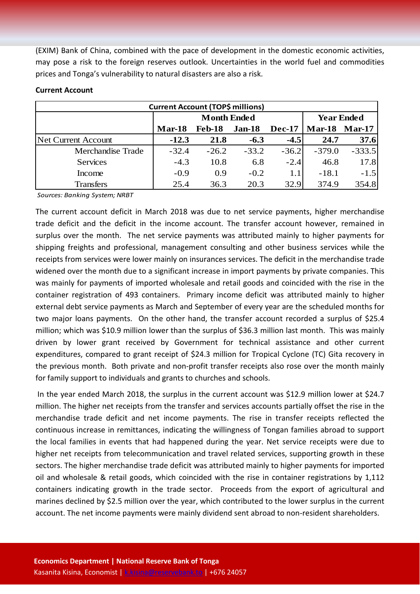(EXIM) Bank of China, combined with the pace of development in the domestic economic activities, may pose a risk to the foreign reserves outlook. Uncertainties in the world fuel and commodities prices and Tonga's vulnerability to natural disasters are also a risk.

| <b>Current Account (TOP\$ millions)</b> |                    |               |               |               |                      |          |  |  |
|-----------------------------------------|--------------------|---------------|---------------|---------------|----------------------|----------|--|--|
|                                         | <b>Month Ended</b> |               |               |               | <b>Year Ended</b>    |          |  |  |
|                                         | $Mar-18$           | <b>Feb-18</b> | <b>Jan-18</b> | <b>Dec-17</b> | <b>Mar-18 Mar-17</b> |          |  |  |
| <b>Net Current Account</b>              | $-12.3$            | 21.8          | $-6.3$        | $-4.5$        | 24.7                 | 37.6     |  |  |
| Merchandise Trade                       | $-32.4$            | $-26.2$       | $-33.2$       | $-36.2$       | $-379.0$             | $-333.5$ |  |  |
| <b>Services</b>                         | $-4.3$             | 10.8          | 6.8           | $-2.4$        | 46.8                 | 17.8     |  |  |
| Income                                  | $-0.9$             | 0.9           | $-0.2$        | 1.1           | $-18.1$              | $-1.5$   |  |  |
| <b>Transfers</b>                        | 25.4               | 36.3          | 20.3          | 32.9          | 374.9                | 354.8    |  |  |

#### **Current Account**

*Sources: Banking System; NRBT*

The current account deficit in March 2018 was due to net service payments, higher merchandise trade deficit and the deficit in the income account. The transfer account however, remained in surplus over the month. The net service payments was attributed mainly to higher payments for shipping freights and professional, management consulting and other business services while the receipts from services were lower mainly on insurances services. The deficit in the merchandise trade widened over the month due to a significant increase in import payments by private companies. This was mainly for payments of imported wholesale and retail goods and coincided with the rise in the container registration of 493 containers. Primary income deficit was attributed mainly to higher external debt service payments as March and September of every year are the scheduled months for two major loans payments. On the other hand, the transfer account recorded a surplus of \$25.4 million; which was \$10.9 million lower than the surplus of \$36.3 million last month. This was mainly driven by lower grant received by Government for technical assistance and other current expenditures, compared to grant receipt of \$24.3 million for Tropical Cyclone (TC) Gita recovery in the previous month. Both private and non-profit transfer receipts also rose over the month mainly for family support to individuals and grants to churches and schools.

In the year ended March 2018, the surplus in the current account was \$12.9 million lower at \$24.7 million. The higher net receipts from the transfer and services accounts partially offset the rise in the merchandise trade deficit and net income payments. The rise in transfer receipts reflected the continuous increase in remittances, indicating the willingness of Tongan families abroad to support the local families in events that had happened during the year. Net service receipts were due to higher net receipts from telecommunication and travel related services, supporting growth in these sectors. The higher merchandise trade deficit was attributed mainly to higher payments for imported oil and wholesale & retail goods, which coincided with the rise in container registrations by 1,112 containers indicating growth in the trade sector. Proceeds from the export of agricultural and marines declined by \$2.5 million over the year, which contributed to the lower surplus in the current account. The net income payments were mainly dividend sent abroad to non-resident shareholders.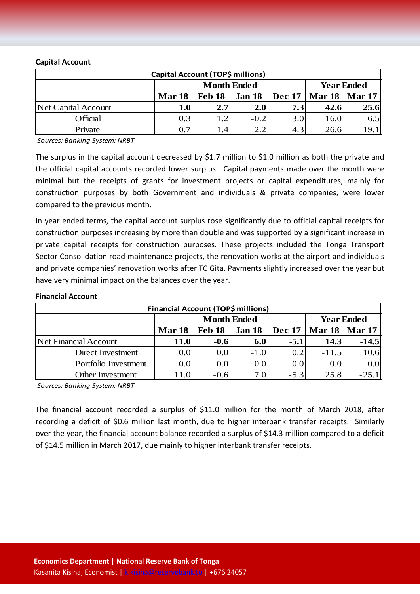#### **Capital Account**

| Capital Account (TOP\$ millions) |               |                    |                                  |                  |      |      |
|----------------------------------|---------------|--------------------|----------------------------------|------------------|------|------|
|                                  |               | <b>Month Ended</b> | <b>Year Ended</b>                |                  |      |      |
|                                  | <b>Mar-18</b> | Feb-18             | <b>Mar-18 Mar-17</b><br>$Dec-17$ |                  |      |      |
| Net Capital Account              | 1.0           | 2.7                | <b>2.0</b>                       | 7.3              | 42.6 | 25.6 |
| Official                         | 0.3           | 1.2                | $-0.2$                           | 3.0 <sub>l</sub> | 16.0 | 6.5  |
| Private                          | 0.7           | 14                 | 2.2                              | 4.3              | 26.6 | 19.1 |

*Sources: Banking System; NRBT*

The surplus in the capital account decreased by \$1.7 million to \$1.0 million as both the private and the official capital accounts recorded lower surplus. Capital payments made over the month were minimal but the receipts of grants for investment projects or capital expenditures, mainly for construction purposes by both Government and individuals & private companies, were lower compared to the previous month.

In year ended terms, the capital account surplus rose significantly due to official capital receipts for construction purposes increasing by more than double and was supported by a significant increase in private capital receipts for construction purposes. These projects included the Tonga Transport Sector Consolidation road maintenance projects, the renovation works at the airport and individuals and private companies' renovation works after TC Gita. Payments slightly increased over the year but have very minimal impact on the balances over the year.

| Financial Account (TOP\$ millions) |                    |               |               |               |                      |         |  |
|------------------------------------|--------------------|---------------|---------------|---------------|----------------------|---------|--|
|                                    | <b>Month Ended</b> |               |               |               | <b>Year Ended</b>    |         |  |
|                                    | $Mar-18$           | <b>Feb-18</b> | <b>Jan-18</b> | <b>Dec-17</b> | <b>Mar-18 Mar-17</b> |         |  |
| <b>Net Financial Account</b>       | <b>11.0</b>        | $-0.6$        | 6.0           | $-5.1$        | 14.3                 | $-14.5$ |  |
| Direct Investment                  | 0.0                | (0.0)         | $-1.0$        | 0.2           | $-11.5$              | 10.6    |  |
| Portfolio Investment               | 0.0                | 0.0           | 0.0           | 0.0           | 0.0                  | 0.0     |  |
| Other Investment                   | 11.0               | $-0.6$        | 7.0           | $-5.3$        | 25.8                 | $-25.1$ |  |

#### **Financial Account**

*Sources: Banking System; NRBT*

The financial account recorded a surplus of \$11.0 million for the month of March 2018, after recording a deficit of \$0.6 million last month, due to higher interbank transfer receipts. Similarly over the year, the financial account balance recorded a surplus of \$14.3 million compared to a deficit of \$14.5 million in March 2017, due mainly to higher interbank transfer receipts.